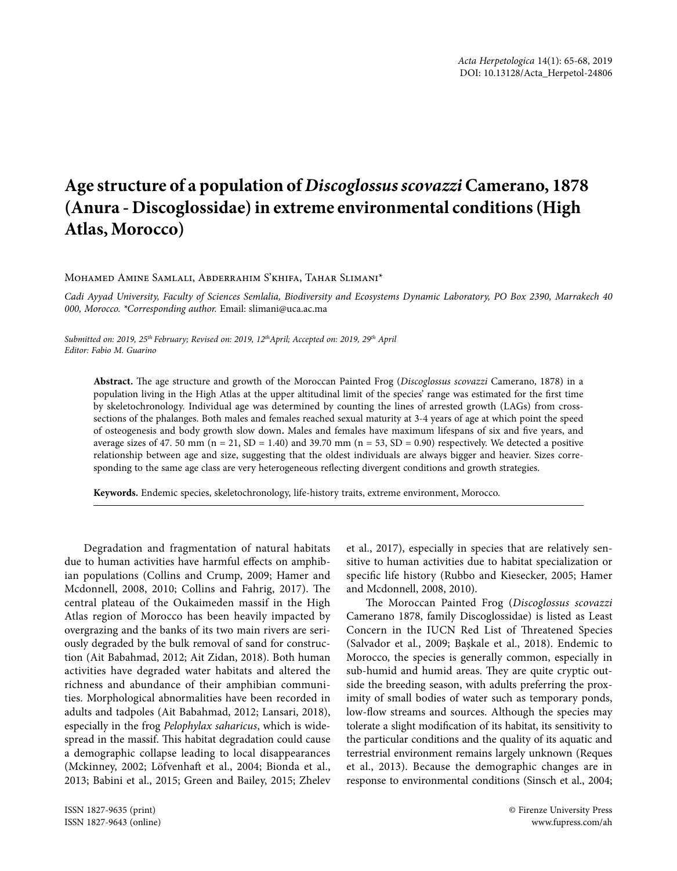## **Age structure of a population of** *Discoglossus scovazzi* **Camerano, 1878 (Anura - Discoglossidae) in extreme environmental conditions (High Atlas, Morocco)**

Mohamed Amine Samlali, Abderrahim S'khifa, Tahar Slimani\*

*Cadi Ayyad University, Faculty of Sciences Semlalia, Biodiversity and Ecosystems Dynamic Laboratory, PO Box 2390, Marrakech 40 000, Morocco. \*Corresponding author.* Email: slimani@uca.ac.ma

*Submitted on: 2019, 25th February; Revised on: 2019, 12thApril; Accepted on: 2019, 29th April Editor: Fabio M. Guarino*

Abstract. The age structure and growth of the Moroccan Painted Frog (*Discoglossus scovazzi* Camerano, 1878) in a population living in the High Atlas at the upper altitudinal limit of the species' range was estimated for the frst time by skeletochronology. Individual age was determined by counting the lines of arrested growth (LAGs) from crosssections of the phalanges. Both males and females reached sexual maturity at 3-4 years of age at which point the speed of osteogenesis and body growth slow down**.** Males and females have maximum lifespans of six and fve years, and average sizes of 47. 50 mm (n = 21, SD = 1.40) and 39.70 mm (n = 53, SD = 0.90) respectively. We detected a positive relationship between age and size, suggesting that the oldest individuals are always bigger and heavier. Sizes corresponding to the same age class are very heterogeneous refecting divergent conditions and growth strategies.

**Keywords.** Endemic species, skeletochronology, life-history traits, extreme environment, Morocco.

Degradation and fragmentation of natural habitats due to human activities have harmful effects on amphibian populations (Collins and Crump, 2009; Hamer and Mcdonnell, 2008, 2010; Collins and Fahrig, 2017). The central plateau of the Oukaimeden massif in the High Atlas region of Morocco has been heavily impacted by overgrazing and the banks of its two main rivers are seriously degraded by the bulk removal of sand for construction (Ait Babahmad, 2012; Ait Zidan, 2018). Both human activities have degraded water habitats and altered the richness and abundance of their amphibian communities. Morphological abnormalities have been recorded in adults and tadpoles (Ait Babahmad, 2012; Lansari, 2018), especially in the frog *Pelophylax saharicus*, which is widespread in the massif. This habitat degradation could cause a demographic collapse leading to local disappearances (Mckinney, 2002; Löfvenhaft et al., 2004; Bionda et al., 2013; Babini et al., 2015; Green and Bailey, 2015; Zhelev

et al., 2017), especially in species that are relatively sensitive to human activities due to habitat specialization or specifc life history (Rubbo and Kiesecker, 2005; Hamer and Mcdonnell, 2008, 2010).

The Moroccan Painted Frog (Discoglossus scovazzi Camerano 1878, family Discoglossidae) is listed as Least Concern in the IUCN Red List of Threatened Species (Salvador et al., 2009; Başkale et al., 2018). Endemic to Morocco, the species is generally common, especially in sub-humid and humid areas. They are quite cryptic outside the breeding season, with adults preferring the proximity of small bodies of water such as temporary ponds, low-flow streams and sources. Although the species may tolerate a slight modifcation of its habitat, its sensitivity to the particular conditions and the quality of its aquatic and terrestrial environment remains largely unknown (Reques et al., 2013). Because the demographic changes are in response to environmental conditions (Sinsch et al., 2004;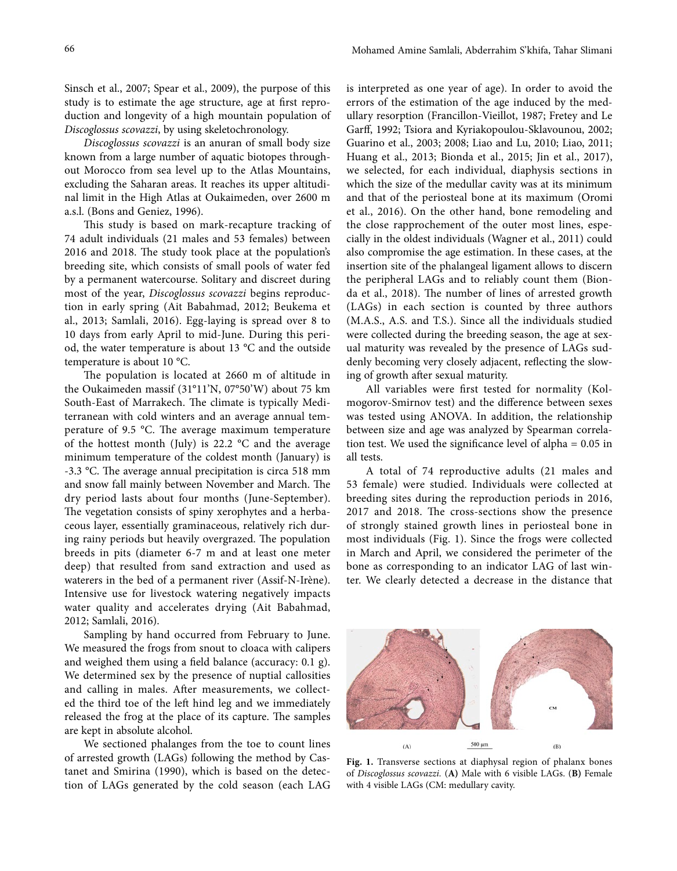Sinsch et al., 2007; Spear et al., 2009), the purpose of this study is to estimate the age structure, age at frst reproduction and longevity of a high mountain population of *Discoglossus scovazzi*, by using skeletochronology.

*Discoglossus scovazzi* is an anuran of small body size known from a large number of aquatic biotopes throughout Morocco from sea level up to the Atlas Mountains, excluding the Saharan areas. It reaches its upper altitudinal limit in the High Atlas at Oukaimeden, over 2600 m a.s.l. (Bons and Geniez, 1996).

This study is based on mark-recapture tracking of 74 adult individuals (21 males and 53 females) between 2016 and 2018. The study took place at the population's breeding site, which consists of small pools of water fed by a permanent watercourse. Solitary and discreet during most of the year, *Discoglossus scovazzi* begins reproduction in early spring (Ait Babahmad, 2012; Beukema et al., 2013; Samlali, 2016). Egg-laying is spread over 8 to 10 days from early April to mid-June. During this period, the water temperature is about 13 °C and the outside temperature is about 10 °C.

The population is located at 2660 m of altitude in the Oukaimeden massif (31°11'N, 07°50'W) about 75 km South-East of Marrakech. The climate is typically Mediterranean with cold winters and an average annual temperature of 9.5 °C. The average maximum temperature of the hottest month (July) is 22.2 °C and the average minimum temperature of the coldest month (January) is -3.3 °C. The average annual precipitation is circa 518 mm and snow fall mainly between November and March. The dry period lasts about four months (June-September). The vegetation consists of spiny xerophytes and a herbaceous layer, essentially graminaceous, relatively rich during rainy periods but heavily overgrazed. The population breeds in pits (diameter 6-7 m and at least one meter deep) that resulted from sand extraction and used as waterers in the bed of a permanent river (Assif-N-Irène). Intensive use for livestock watering negatively impacts water quality and accelerates drying (Ait Babahmad, 2012; Samlali, 2016).

Sampling by hand occurred from February to June. We measured the frogs from snout to cloaca with calipers and weighed them using a feld balance (accuracy: 0.1 g). We determined sex by the presence of nuptial callosities and calling in males. Afer measurements, we collected the third toe of the left hind leg and we immediately released the frog at the place of its capture. The samples are kept in absolute alcohol.

We sectioned phalanges from the toe to count lines of arrested growth (LAGs) following the method by Castanet and Smirina (1990), which is based on the detection of LAGs generated by the cold season (each LAG is interpreted as one year of age). In order to avoid the errors of the estimation of the age induced by the medullary resorption (Francillon-Vieillot, 1987; Fretey and Le Garf, 1992; Tsiora and Kyriakopoulou-Sklavounou, 2002; Guarino et al., 2003; 2008; Liao and Lu, 2010; Liao, 2011; Huang et al., 2013; Bionda et al., 2015; Jin et al., 2017), we selected, for each individual, diaphysis sections in which the size of the medullar cavity was at its minimum and that of the periosteal bone at its maximum (Oromi et al., 2016). On the other hand, bone remodeling and the close rapprochement of the outer most lines, especially in the oldest individuals (Wagner et al., 2011) could also compromise the age estimation. In these cases, at the insertion site of the phalangeal ligament allows to discern the peripheral LAGs and to reliably count them (Bionda et al., 2018). The number of lines of arrested growth (LAGs) in each section is counted by three authors (M.A.S., A.S. and T.S.). Since all the individuals studied were collected during the breeding season, the age at sexual maturity was revealed by the presence of LAGs suddenly becoming very closely adjacent, refecting the slowing of growth afer sexual maturity.

All variables were frst tested for normality (Kolmogorov-Smirnov test) and the diference between sexes was tested using ANOVA. In addition, the relationship between size and age was analyzed by Spearman correlation test. We used the signifcance level of alpha = 0.05 in all tests.

A total of 74 reproductive adults (21 males and 53 female) were studied. Individuals were collected at breeding sites during the reproduction periods in 2016, 2017 and 2018. The cross-sections show the presence of strongly stained growth lines in periosteal bone in most individuals (Fig. 1). Since the frogs were collected in March and April, we considered the perimeter of the bone as corresponding to an indicator LAG of last winter. We clearly detected a decrease in the distance that



**Fig. 1.** Transverse sections at diaphysal region of phalanx bones of *Discoglossus scovazzi.* (**A)** Male with 6 visible LAGs. (**B)** Female with 4 visible LAGs (CM: medullary cavity.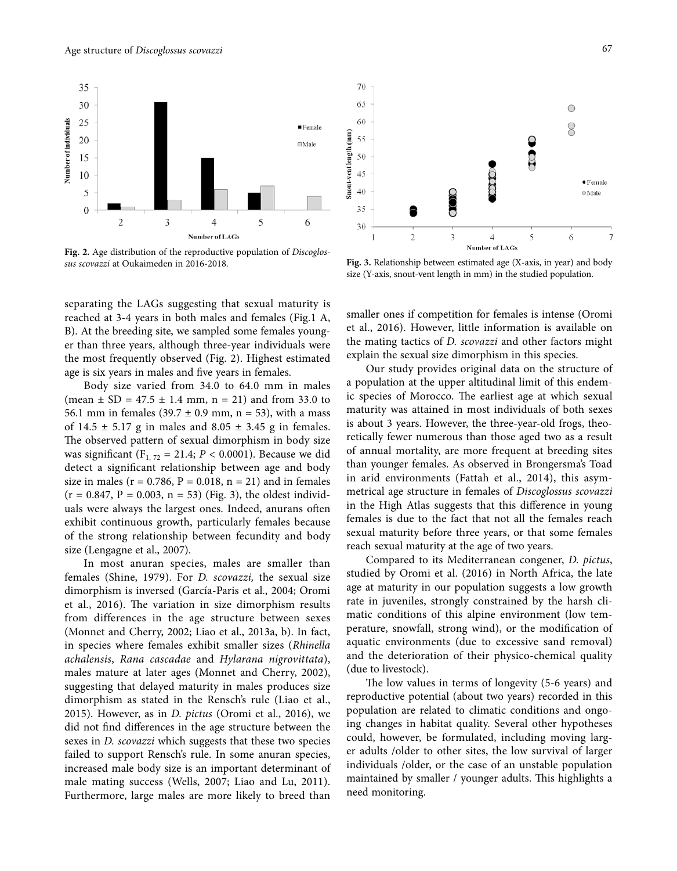

**Fig. 2.** Age distribution of the reproductive population of *Discoglos-*

separating the LAGs suggesting that sexual maturity is reached at 3-4 years in both males and females (Fig.1 A, B). At the breeding site, we sampled some females younger than three years, although three-year individuals were the most frequently observed (Fig. 2). Highest estimated age is six years in males and fve years in females.

Body size varied from 34.0 to 64.0 mm in males (mean  $\pm$  SD = 47.5  $\pm$  1.4 mm, n = 21) and from 33.0 to 56.1 mm in females (39.7  $\pm$  0.9 mm, n = 53), with a mass of  $14.5 \pm 5.17$  g in males and  $8.05 \pm 3.45$  g in females. The observed pattern of sexual dimorphism in body size was significant  $(F_{1, 72} = 21.4; P < 0.0001)$ . Because we did detect a signifcant relationship between age and body size in males ( $r = 0.786$ ,  $P = 0.018$ ,  $n = 21$ ) and in females  $(r = 0.847, P = 0.003, n = 53)$  (Fig. 3), the oldest individuals were always the largest ones. Indeed, anurans ofen exhibit continuous growth, particularly females because of the strong relationship between fecundity and body size (Lengagne et al., 2007).

In most anuran species, males are smaller than females (Shine, 1979). For *D. scovazzi,* the sexual size dimorphism is inversed (García-Paris et al., 2004; Oromi et al., 2016). The variation in size dimorphism results from differences in the age structure between sexes (Monnet and Cherry, 2002; Liao et al., 2013a, b). In fact, in species where females exhibit smaller sizes (*Rhinella achalensis*, *Rana cascadae* and *Hylarana nigrovittata*), males mature at later ages (Monnet and Cherry, 2002), suggesting that delayed maturity in males produces size dimorphism as stated in the Rensch's rule (Liao et al., 2015). However, as in *D. pictus* (Oromi et al., 2016), we did not fnd diferences in the age structure between the sexes in *D. scovazzi* which suggests that these two species failed to support Rensch's rule. In some anuran species, increased male body size is an important determinant of male mating success (Wells, 2007; Liao and Lu, 2011). Furthermore, large males are more likely to breed than



Fig. 3. Relationship between estimated age (X-axis, in year) and body size (Y-axis, snout-vent length in mm) in the studied population.

smaller ones if competition for females is intense (Oromi et al., 2016). However, little information is available on the mating tactics of *D. scovazzi* and other factors might explain the sexual size dimorphism in this species.

Our study provides original data on the structure of a population at the upper altitudinal limit of this endemic species of Morocco. The earliest age at which sexual maturity was attained in most individuals of both sexes is about 3 years. However, the three-year-old frogs, theoretically fewer numerous than those aged two as a result of annual mortality, are more frequent at breeding sites than younger females. As observed in Brongersma's Toad in arid environments (Fattah et al., 2014), this asymmetrical age structure in females of *Discoglossus scovazzi*  in the High Atlas suggests that this diference in young females is due to the fact that not all the females reach sexual maturity before three years, or that some females reach sexual maturity at the age of two years.

Compared to its Mediterranean congener, *D. pictus*, studied by Oromi et al. (2016) in North Africa, the late age at maturity in our population suggests a low growth rate in juveniles, strongly constrained by the harsh climatic conditions of this alpine environment (low temperature, snowfall, strong wind), or the modifcation of aquatic environments (due to excessive sand removal) and the deterioration of their physico-chemical quality (due to livestock).

The low values in terms of longevity (5-6 years) and reproductive potential (about two years) recorded in this population are related to climatic conditions and ongoing changes in habitat quality. Several other hypotheses could, however, be formulated, including moving larger adults /older to other sites, the low survival of larger individuals /older, or the case of an unstable population maintained by smaller / younger adults. This highlights a need monitoring.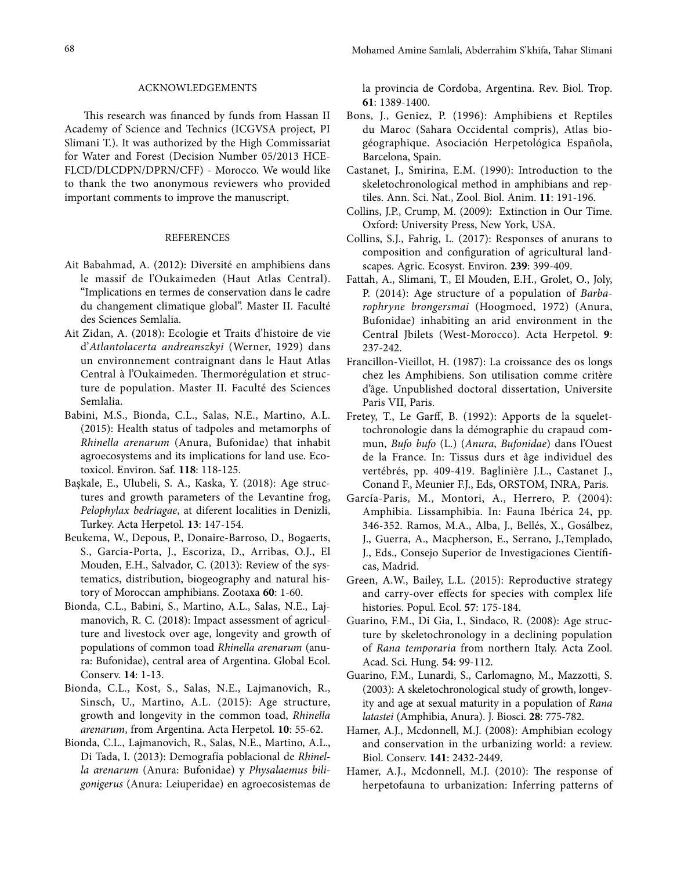## ACKNOWLEDGEMENTS

This research was financed by funds from Hassan II Academy of Science and Technics (ICGVSA project, PI Slimani T.). It was authorized by the High Commissariat for Water and Forest (Decision Number 05/2013 HCE-FLCD/DLCDPN/DPRN/CFF) - Morocco. We would like to thank the two anonymous reviewers who provided important comments to improve the manuscript.

## REFERENCES

- Ait Babahmad, A. (2012): Diversité en amphibiens dans le massif de l'Oukaimeden (Haut Atlas Central). "Implications en termes de conservation dans le cadre du changement climatique global". Master II. Faculté des Sciences Semlalia.
- Ait Zidan, A. (2018): Ecologie et Traits d'histoire de vie d'*Atlantolacerta andreanszkyi* (Werner, 1929) dans un environnement contraignant dans le Haut Atlas Central à l'Oukaimeden. Thermorégulation et structure de population. Master II. Faculté des Sciences Semlalia.
- Babini, M.S., Bionda, C.L., Salas, N.E., Martino, A.L. (2015): Health status of tadpoles and metamorphs of *Rhinella arenarum* (Anura, Bufonidae) that inhabit agroecosystems and its implications for land use. Ecotoxicol. Environ. Saf. **118**: 118-125.
- Başkale, E., Ulubeli, S. A., Kaska, Y. (2018): Age structures and growth parameters of the Levantine frog, *Pelophylax bedriagae*, at diferent localities in Denizli, Turkey. Acta Herpetol. **13**: 147-154.
- Beukema, W., Depous, P., Donaire-Barroso, D., Bogaerts, S., Garcia-Porta, J., Escoriza, D., Arribas, O.J., El Mouden, E.H., Salvador, C. (2013): Review of the systematics, distribution, biogeography and natural history of Moroccan amphibians. Zootaxa **60**: 1-60.
- Bionda, C.L., Babini, S., Martino, A.L., Salas, N.E., Lajmanovich, R. C. (2018): Impact assessment of agriculture and livestock over age, longevity and growth of populations of common toad *Rhinella arenarum* (anura: Bufonidae), central area of Argentina. Global Ecol. Conserv. **14**: 1-13.
- Bionda, C.L., Kost, S., Salas, N.E., Lajmanovich, R., Sinsch, U., Martino, A.L. (2015): Age structure, growth and longevity in the common toad, *Rhinella arenarum*, from Argentina. Acta Herpetol. **10**: 55-62.
- Bionda, C.L., Lajmanovich, R., Salas, N.E., Martino, A.L., Di Tada, I. (2013): Demografía poblacional de *Rhinella arenarum* (Anura: Bufonidae) y *Physalaemus biligonigerus* (Anura: Leiuperidae) en agroecosistemas de

la provincia de Cordoba, Argentina. Rev. Biol. Trop. **61**: 1389-1400.

- Bons, J., Geniez, P. (1996): Amphibiens et Reptiles du Maroc (Sahara Occidental compris), Atlas biogéographique. Asociación Herpetológica Española, Barcelona, Spain.
- Castanet, J., Smirina, E.M. (1990): Introduction to the skeletochronological method in amphibians and reptiles. Ann. Sci. Nat., Zool. Biol. Anim. **11**: 191-196.
- Collins, J.P., Crump, M. (2009): Extinction in Our Time. Oxford: University Press, New York, USA.
- Collins, S.J., Fahrig, L. (2017): Responses of anurans to composition and confguration of agricultural landscapes. Agric. Ecosyst. Environ. **239**: 399-409.
- Fattah, A., Slimani, T., El Mouden, E.H., Grolet, O., Joly, P. (2014): Age structure of a population of *Barbarophryne brongersmai* (Hoogmoed, 1972) (Anura, Bufonidae) inhabiting an arid environment in the Central Jbilets (West-Morocco). Acta Herpetol. **9**: 237-242.
- Francillon-Vieillot, H. (1987): La croissance des os longs chez les Amphibiens. Son utilisation comme critère d'âge. Unpublished doctoral dissertation, Universite Paris VII, Paris.
- Fretey, T., Le Garf, B. (1992): Apports de la squelettochronologie dans la démographie du crapaud commun, *Bufo bufo* (L.) (*Anura*, *Bufonidae*) dans l'Ouest de la France. In: Tissus durs et âge individuel des vertébrés, pp. 409-419. Baglinière J.L., Castanet J., Conand F., Meunier F.J., Eds, ORSTOM, INRA, Paris.
- García-Paris, M., Montori, A., Herrero, P. (2004): Amphibia. Lissamphibia. In: Fauna Ibérica 24, pp. 346-352. Ramos, M.A., Alba, J., Bellés, X., Gosálbez, J., Guerra, A., Macpherson, E., Serrano, J.,Templado, J., Eds., Consejo Superior de Investigaciones Científcas, Madrid.
- Green, A.W., Bailey, L.L. (2015): Reproductive strategy and carry-over efects for species with complex life histories. Popul. Ecol. **57**: 175-184.
- Guarino, F.M., Di Gia, I., Sindaco, R. (2008): Age structure by skeletochronology in a declining population of *Rana temporaria* from northern Italy. Acta Zool. Acad. Sci. Hung. **54**: 99-112.
- Guarino, F.M., Lunardi, S., Carlomagno, M., Mazzotti, S. (2003): A skeletochronological study of growth, longevity and age at sexual maturity in a population of *Rana latastei* (Amphibia, Anura). J. Biosci. **28**: 775-782.
- Hamer, A.J., Mcdonnell, M.J. (2008): Amphibian ecology and conservation in the urbanizing world: a review. Biol. Conserv. **141**: 2432-2449.
- Hamer, A.J., Mcdonnell, M.J. (2010): The response of herpetofauna to urbanization: Inferring patterns of